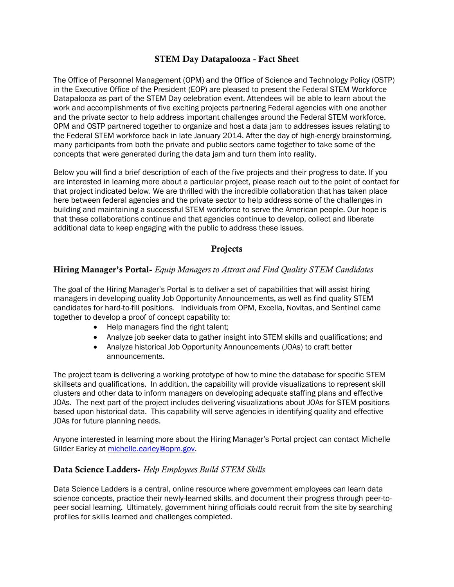## **STEM Day Datapalooza - Fact Sheet**

The Office of Personnel Management (OPM) and the Office of Science and Technology Policy (OSTP) in the Executive Office of the President (EOP) are pleased to present the Federal STEM Workforce Datapalooza as part of the STEM Day celebration event. Attendees will be able to learn about the work and accomplishments of five exciting projects partnering Federal agencies with one another and the private sector to help address important challenges around the Federal STEM workforce. OPM and OSTP partnered together to organize and host a data jam to addresses issues relating to the Federal STEM workforce back in late January 2014. After the day of high-energy brainstorming, many participants from both the private and public sectors came together to take some of the concepts that were generated during the data jam and turn them into reality.

Below you will find a brief description of each of the five projects and their progress to date. If you are interested in learning more about a particular project, please reach out to the point of contact for that project indicated below. We are thrilled with the incredible collaboration that has taken place here between federal agencies and the private sector to help address some of the challenges in building and maintaining a successful STEM workforce to serve the American people. Our hope is that these collaborations continue and that agencies continue to develop, collect and liberate additional data to keep engaging with the public to address these issues.

# **Projects**

## **Hiring Manager's Portal-** *Equip Managers to Attract and Find Quality STEM Candidates*

The goal of the Hiring Manager's Portal is to deliver a set of capabilities that will assist hiring managers in developing quality Job Opportunity Announcements, as well as find quality STEM candidates for hard-to-fill positions. Individuals from OPM, Excella, Novitas, and Sentinel came together to develop a proof of concept capability to:

- Help managers find the right talent;
- Analyze job seeker data to gather insight into STEM skills and qualifications; and
- Analyze historical Job Opportunity Announcements (JOAs) to craft better announcements.

The project team is delivering a working prototype of how to mine the database for specific STEM skillsets and qualifications. In addition, the capability will provide visualizations to represent skill clusters and other data to inform managers on developing adequate staffing plans and effective JOAs. The next part of the project includes delivering visualizations about JOAs for STEM positions based upon historical data. This capability will serve agencies in identifying quality and effective JOAs for future planning needs.

Anyone interested in learning more about the Hiring Manager's Portal project can contact Michelle Gilder Earley at [michelle.earley@opm.gov.](mailto:michelle.earley@opm.gov)

#### **Data Science Ladders-** *Help Employees Build STEM Skills*

Data Science Ladders is a central, online resource where government employees can learn data science concepts, practice their newly-learned skills, and document their progress through peer-topeer social learning. Ultimately, government hiring officials could recruit from the site by searching profiles for skills learned and challenges completed.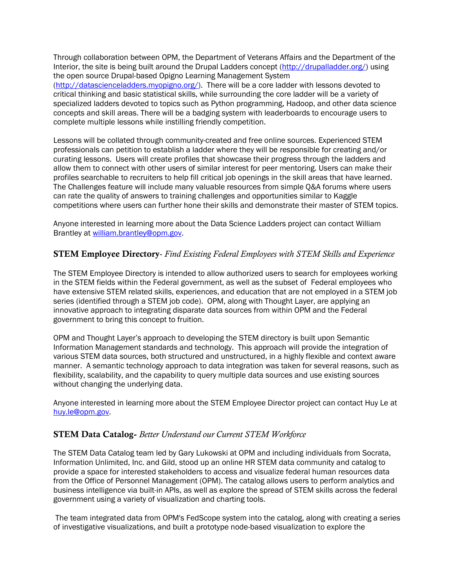Through collaboration between OPM, the Department of Veterans Affairs and the Department of the Interior, the site is being built around the Drupal Ladders concept [\(http://drupalladder.org/\)](http://drupalladder.org/) using the open source Drupal-based Opigno Learning Management System [\(http://datascienceladders.myopigno.org/\)](http://datascienceladders.myopigno.org/). There will be a core ladder with lessons devoted to critical thinking and basic statistical skills, while surrounding the core ladder will be a variety of specialized ladders devoted to topics such as Python programming, Hadoop, and other data science concepts and skill areas. There will be a badging system with leaderboards to encourage users to complete multiple lessons while instilling friendly competition.

Lessons will be collated through community-created and free online sources. Experienced STEM professionals can petition to establish a ladder where they will be responsible for creating and/or curating lessons. Users will create profiles that showcase their progress through the ladders and allow them to connect with other users of similar interest for peer mentoring. Users can make their profiles searchable to recruiters to help fill critical job openings in the skill areas that have learned. The Challenges feature will include many valuable resources from simple Q&A forums where users can rate the quality of answers to training challenges and opportunities similar to Kaggle competitions where users can further hone their skills and demonstrate their master of STEM topics.

Anyone interested in learning more about the Data Science Ladders project can contact William Brantley at [william.brantley@opm.gov.](mailto:william.brantley@opm.gov)

#### **STEM Employee Directory**- *Find Existing Federal Employees with STEM Skills and Experience*

The STEM Employee Directory is intended to allow authorized users to search for employees working in the STEM fields within the Federal government, as well as the subset of Federal employees who have extensive STEM related skills, experiences, and education that are not employed in a STEM job series (identified through a STEM job code). OPM, along with Thought Layer, are applying an innovative approach to integrating disparate data sources from within OPM and the Federal government to bring this concept to fruition.

OPM and Thought Layer's approach to developing the STEM directory is built upon Semantic Information Management standards and technology. This approach will provide the integration of various STEM data sources, both structured and unstructured, in a highly flexible and context aware manner. A semantic technology approach to data integration was taken for several reasons, such as flexibility, scalability, and the capability to query multiple data sources and use existing sources without changing the underlying data.

Anyone interested in learning more about the STEM Employee Director project can contact Huy Le at [huy.le@opm.gov.](mailto:huy.le@opm.gov)

#### **STEM Data Catalog-** *Better Understand our Current STEM Workforce*

The STEM Data Catalog team led by Gary Lukowski at OPM and including individuals from Socrata, Information Unlimited, Inc. and Gild, stood up an online HR STEM data community and catalog to provide a space for interested stakeholders to access and visualize federal human resources data from the Office of Personnel Management (OPM). The catalog allows users to perform analytics and business intelligence via built-in APIs, as well as explore the spread of STEM skills across the federal government using a variety of visualization and charting tools.

The team integrated data from OPM's FedScope system into the catalog, along with creating a series of investigative visualizations, and built a prototype node-based visualization to explore the